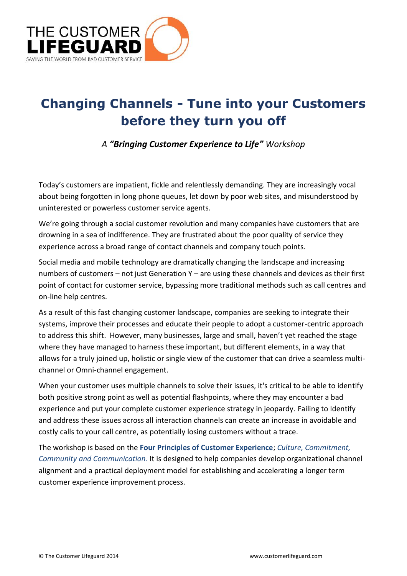

## **Changing Channels -Tune into your Customers before they turn you off**

*A "Bringing Customer Experience to Life" Workshop*

Today's customers are impatient, fickle and relentlessly demanding. They are increasingly vocal about being forgotten in long phone queues, let down by poor web sites, and misunderstood by uninterested or powerless customer service agents.

We're going through a social customer revolution and many companies have customers that are drowning in a sea of indifference. They are frustrated about the poor quality of service they experience across a broad range of contact channels and company touch points.

Social media and mobile technology are dramatically changing the landscape and increasing numbers of customers – not just Generation Y – are using these channels and devices as their first point of contact for customer service, bypassing more traditional methods such as call centres and on-line help centres.

As a result of this fast changing customer landscape, companies are seeking to integrate their systems, improve their processes and educate their people to adopt a customer-centric approach to address this shift. However, many businesses, large and small, haven't yet reached the stage where they have managed to harness these important, but different elements, in a way that allows for a truly joined up, holistic or single view of the customer that can drive a seamless multi channel or Omni-channel engagement.

When your customer uses multiple channels to solve their issues, it's critical to be able to identify both positive strong point as well as potential flashpoints, where they may encounter a bad experience and put your complete customer experience strategy in jeopardy. Failing to Identify and address these issues across all interaction channels can create an increase in avoidable and costly calls to your call centre, as potentially losing customers without a trace.

The workshop is based on the **Four Principles of Customer Experience**; *Culture, Commitment, Community and Communication.* It is designed to help companies develop organizational channel alignment and a practical deployment model for establishing and accelerating a longer term customer experience improvement process.